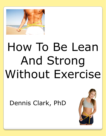

# How To Be Lean And Strong Without Exercise

Dennis Clark, PhD

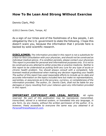# **How To Be Lean And Strong Without Exercise**

Dennis Clark, PhD

©2012 Dennis Clark, Tempe, AZ

As a sign of our times and of the foolishness of a few people, I am obligated by the U.S. government to state the following. I hope this doesn't scare you, because the information that I provide here is backed by solid scientific research.

**DISCLAIMER:** *The information provided in this report is not a substitute for a face-to-face consultation with your physician, and should not be construed as individual medical advice. If a condition persists, please contact your physician. This report is provided for personal and informational purposes only. It is not to be construed as any attempt to either prescribe or practice medicine. Neither is this report to be understood as putting forth any cure for any type of acute or chronic health problem. You should always consult with a competent, fully licensed medical professional when making any decision regarding your health. The author of this report has used reasonable efforts to include up-to-date and accurate information on the topics included here but make no representations, warranties, or assurances as to the accuracy, currency, or completeness of the information provided. The author, Dr. Dennis Clark, shall not be liable for any damages or injury resulting from your reliance upon any information provided in this report.* 

**IMPORTANT COPYRIGHT AND LEGAL NOTICE:** *All rights reserved. No part of this publication may be reproduced, transmitted, transcribed, stored in a retrieval system, or translated into any language, in any form, by any means, without the written permission of the author. It is, however, freely accessible to everyone the same way you obtained it at [PersonalFitnessResearch.com.](http://personalfitnessresearch.com/)*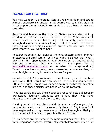### **PLEASE READ THIS FIRST**

You may wonder if I am crazy. Can you really get lean and strong without exercise? My answer is, of course you can. This claim is firmly supported by scientific research that goes back almost two centuries.

Reports and books on the topic of fitness usually start out by offering the professional credentials of the author. This is so you will believe what he or she has to say. Unfortunately, professionals strongly disagree on so many things related to health and fitness that you can find a highly qualified professional somewhere who says whatever you want to hear.

Research scientists, nutritionists, trainers, doctors, and all manner of experts are often wrong. So if you want to believe that what I explain in this report is wrong, your conclusion has nothing to do with my experience. (See my About Dr. Clark page here at [PersonalFitnessResearch.com](http://personalfitnessresearch.com/about/) to see what my background is.) Experts have been arguing, even screaming at one another, on what is right or wrong in health sciences for years.

So who is right? My rationale is that I have gleaned the best information that I could find from several independent sources that I think are right. Here is how I judge a source: It cites real scientific articles, and those articles are based on sound research.

That last part is critical, since lots of bad research gets published in professional journals. Scientists are human. They (we) make mistakes and often defend them to the end.

If airing out all of this professional dirty laundry confuses you, then hang on for a wild ride in this report. By the end of it, I hope I will have explained why my views are correct well enough so that you understand what is best for your health and fitness.

To start, here are the some of the main resources that I have used for finding good research. If you really want to know a lot more than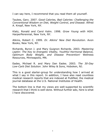I can say here, I recommend that you read them all yourself.

Taubes, Gary. 2007. *Good Calories, Bad Calories: Challenging the Conventional Wisdom on Diet, Weight Control, and Disease*. Alfred A. Knopf, New York, NY.

Klatz, Ronald and Carol Kahn. 1998. *Grow Young with HGH*. HarperPerennial, New York, NY.

Atkins, Robert C. 1999. *Dr. Atkins' New Diet Revolution*. Avon Books, New York, NY.

Richards, Byron J. and Mary Guignon Richards. 2003. *Mastering Leptin: The Key to Energetic Vitality, Youthful Hormonal Balance, Optimum Body Weight, and Disease Prevention!* Wellness Resources, Minneapolis, MN.

Eades, Michael R. and Mary Dan Eades. 2003. *The 30-Day Low-Carb Diet Solution*. John Wiley & Sons, Hoboken, NJ.

This is a good starter-group for understanding how I arrived at what I say in this report. In addition, I have also read countless medical research reports that are indexed at PubMed, the medical journal database at the U.S. National Institutes of Health.

The bottom line is that my views are well-supported by scientific research that I think is well-done. Without further ado, here is what I have discovered.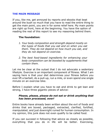# **THE MAIN MESSAGE**

If you, like me, get annoyed by reports and ebooks that beat around the bush so much that you have to read the entire thing to get the main point, you are in for some relief here. My main points are right up front, here at the beginning. You have the option of reading the rest of this report to see my reasoning behind them.

# **The foundation:**

- *1. Your body composition and strength depend mostly on the types of foods that you eat and on when you eat them. They do not depend on how much you eat, and they do not depend on exercise.*
- *2. The best food-based ingredients for enhancing your body composition can be boosted by supplements that contain them.*

Let me be clear at the outset that I do not advocate a sedentary lifestyle. Exercise is an important component of fitness. What I am saying here is that your diet determines your fitness before you ever lift a barbell, do a pull-up, run a mile, or even spend one single minute on an exercise bike.

Before I explain what you have to eat and drink to get lean and strong, I have three gigantic pieces of advice:

# *Please, please, please do not eat or drink anything that has been processed, ever!*

Entire books have already been written about the evil of foods and drinks that are boxed, packaged, extracted, clarified, fortified, manipulated, and just downright ruined for human consumption. In my opinion, this junk does not even qualify to be called food.

If you can succeed in following that advice as closely as possible, everything that you do in life will be better. Exercising,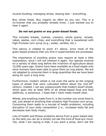muscle-building, managing stress, staying lean - everything.

Buy whole foods. Buy organic as often as you can. This is a no-brainer that you probably already know. I just wanted you to hear it again.

# *Do not eat grains or any grain-based foods.*

This includes breads, cookies, crackers, whole grains, cereals, cakes, pastas, corn chips, and everything that is sweetened with high-fructose corn syrup (e.g., sodas, candies, etc.).

This advice is related to point #1 above, since most of the grain-based products that you find in supermarkets are processed.

The importance of avoiding grains may require at least a little explanation, since I will not mention it again. Our species evolved on a variety of diets long before the invention of agriculture about 10,000 years ago. Grains have been available as a food staple only since humans have been able to grow them as crop plants. We are not adapted to consume them in large quantities like we have been doing for such a long time.

Furthermore, modern wheat is not even the same as the original types of wheat that were cultivated before about the mid-20<sup>th</sup> century. Indeed, I can say unequivocally that modern dwarf wheat, which goes into at least 99% of all wheat-based food and food additives, is poisonous. I hope that I have made myself clear.

Wheat, and anything made from it, is the number one worst food to eat, just ahead of anything that contains high-fructose corn syrup. Consuming them leads to a myriad of health problems, including disruption of your body composition (i.e., increases body fat and decreases lean body mass).

Lots of health and fitness problems derive from a grain-based diet, so the best you can do is simply not eat this kind of food any more. Yes, what I am saying is that, if you want a pizza, don't eat the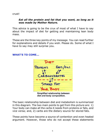crust!

# *Eat all the protein and fat that you want, as long as it was made by Mother Nature.*

This advice is going to be the crux of most of what I have to say about the impact of diet for getting and maintaining lean body mass.

These are the three key points of my message. You can read further for explanations and details if you wish. Please do. Some of what I have to say may still surprise you.

### **WHAT'S TO COME...**



Simplified relationship between diet and body composition.

The basic relationship between diet and metabolism is summarized in this diagram. The two main points to get from this picture are: 1) Your body can make all the carbs it needs from proteins or fats, and vice versa; and, 2) carbs are the dietary source for stored fats.

These points have become a source of contention and even heated argument. However, those who do not accept these statements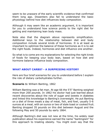seem to be unaware of the early scientific evidence that confirmed them long ago. Dissenters also fail to understand the basic physiology behind how diet influences body composition.

Although it may seem like an academic argument, it is important for you to understand how science points to the right diet for getting and maintaining lean body mass.

Note also that the diagram above represents simplification. Additional keys to the relationship between diet and body composition include several kinds of hormones. It is at least as important to optimize the balance of these hormones as it is to eat the right foods. Indeed, hormones and diet influence one another.

So what is to come are my explanations for selecting the right kinds of foods for keeping your body lean, based on how diet and hormone balance influence body composition.

### **WHAT ABOUT CARBS? - A SURPRISING HISTORY**

Here are four brief scenarios for you to understand before I explain the role of dietary carbohydrates further.

**Scenario 1:** William Banting, 1862

William Banting was a fat man. At age 66 the 5'5" Banting weighed more than 200 pounds. In 1862 his doctor had just learned about recent discoveries about the role of sugar and sweets in diabetes and linked this knowledge to Banting"s overweight. He put Banting on a diet of three meals a day of meat, fish, and fowl, usually 5-6 ounces at a meal, with an ounce or two of stale toast or cooked fruit. Banting dropped 35 pounds on this diet between August and the following May and 50 pounds by early 1864.

Although Banting"s diet was not new at the time, his widely read publication about his experience earned the name "bantingism" for this approach to treating obesity. You might even say that the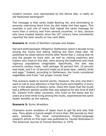modern version, now represented by the Atkins diet, is really an old-fashioned bantingism!

The message is that carbs made Banting fat, and eliminating or severely restricting them from his diet made him lean again. This example is just one of many that repeat the same message for more than a century and from several countries. In fact, doctors who have treated obesity since the  $19<sup>th</sup>$  century have consistently reported the best results on low-carb diets.

### **Scenario 2:** Inuits of Northern Canada and Alaska

Harvard anthropologist Vilhjalmur Stefansson spent a decade living among the Inuits and eating nothing but their meat diet. He published his observations shortly after World War I, noting that he and the people he lived with, as well as visiting explorers and traders who lived on this diet, were among the healthiest and most vigorous populations imaginable. Specifically, the diet was primarily caribou meat, "with perhaps 30 percent fish, 10 percent seal meat, and 5 or 10 percent made up of polar bear, rabbits, birds and eggs." Indeed, according to Stefansson, the Inuits considered vegetables and fruits "not proper human food."

This scenario leads to several points. However, the only one that I want to call to your attention is that the Inuits were healthy in every way in the absence of dietary carbs. Does this mean that the Inuits had a different genetic profile that was adaptive for this kind of diet? No. Visitors from other countries, who lived on the same diet for years at a time while living among the Inuits, experienced the same health benefits as the natives.

### **Scenario 3:** Sumo Wrestlers

Champion sumo wrestlers of Japan have to get fat and stay that way. They attain a typical weight of more than 300 pounds by their early twenties. The most comprehensive English-language research article on this topic was published by Tsuneo Nishizawa in The American Journal of Clinical Nutrition in 1976.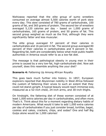Nishizawa reported that the elite group of sumo wrestlers consumed on average almost 5,500 calories worth of pork stew every day. This stew consisted of 780 grams of carbohydrate, 100 grams of fat, and 365 grams of protein. The second tier of wrestlers averaged 5,120 calories per day – based on 1,000 grams of carbohydrates, 165 grams of protein, and 50 grams of fat. This second group weighed as much as the first, although they were significantly fatter and less muscular.

The elite group averaged 57 percent of their calories in carbohydrates and 16 percent in fat. The second group averaged 80 percent of their calories in carbohydrates and 9 percent in fat. Regarding fat, both are considerably below what most public health authorities in America would refer to as a low-fat diet.

The message is that pathological obesity in young men in their prime is caused by a very low-fat, high-carbohydrate diet. Now ask yourself, does this resemble anything like your diet?

### **Scenario 4: Fattening Up Among African Royalty**

This goes back much further into history. In 1857, European explorers reported that Abysinnian nobility in West Africa followed the custom of fattening their wives to such an extent that they could not stand upright. A typical beauty would reach immense size, measured as a 52-inch chest, 24-inch arms, and 30-inch thighs.

On hindsight, the fattening diet of these women consisted of at least 1,000 extra calories per day in carbohydrates, and often more. That's it. Think about this for a moment regarding dietary habits of modern Americans. What would it take to add 1,000 extra calories per day of carbohydrates if you just consider bread, tortillas, bagel, cookies and cakes, crackers, chips, and sodas? One and half Big Gulps alone would be 1,000 calories!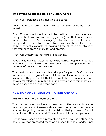# **Two Myths About the Role of Dietary Carbs**

Myth #1: A balanced diet must include carbs.

Does this mean 20% of your calories? Or 30% or 40%, or even more?

First off, you do not need carbs to be healthy. You may have heard that your brain runs on carbs (i.e., glucose) and that your liver and muscles store carbs (i.e., glycogen), all of which is correct. It is just that you do not need to eat carbs to put carbs in those places. Your body is perfectly capable of making all the glucose and glycogen that you need from dietary fat and protein.

Myth #2: Dietary fat, not carbs, is fattening.

People who want to fatten up eat extra carbs. People who get fat, and consequently lower their lean body mass composition, do so because of the carbs in their diet.

The meat industry has used this principle for years. Beef cows are fattened up on a grain-based diet for weeks or months before slaughter. They get so fat that the muscle tissue (meat) becomes heavily marbled with pure fat. Isn"t it pretty gross to think that your muscle tissue can get like that, too?

# **HOW DO YOU GET LEAN ON PROTEIN AND FAT?**

ANSWER: Eat more of both of them.

The question you may have is, how much? The answer is, eat as much as you want. Research shows very clearly that your body is adapted to getting the amount of nutrition that you need. You will not eat more than you need. You will not eat less than you need.

By the way, based on this research, you can now understand why people overeat processed foods as opposed to whole foods. Since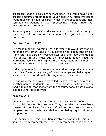processed foods are typically nutrient-poor, you would have to eat greater amounts of them to fulfill your need for nutrition. Processed foods that contain lots of carbs, which is the cheapest and most common component of food processing, simply drive your metabolism into storing fat.

So as long as you are eating the amount of protein and fat that you want, you will not overeat or undereat. And you will not store excess fat.

# **Can You Overdo Fat?**

The most important warning I have for you is to avoid fats that are not made by Mother Nature. If you haven"t heard about the evils of trans-fats, aka partially hydrogenated oils, then pay attention to this advice. If you must buy any processed foods, read the ingredient label carefully. Ignore the bright, beautiful claim on the front of any product that says "Zero Trans Fats."

If the ingredients list hydrogenated oils, then the product contains trans fats. Be especially wary of salad dressings and baked goods, since these are notorious for having a lot of trans fats.

By the way, the non-caloric fat called Olestra, and maybe a couple of other names, is double evil. To paraphrase Jerry Seinfeld, any food with a label that has to warn the consumer about possible anal leakage is not good for you.

# **Fats vs. Oils**

Chemists do not have a fundamental chemical definition to distinguish between fats and oils. They comprise the same basic classes of chemicals. Fats are defined as being solid at room temperature, and oils are defined as being liquid at room temperature.

One oddity about this definition involves coconut oil. This oil is liquid at room temperature, if the room temperature is above 75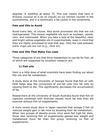degrees. It solidifies at about 75. This just means that here in Arizona, coconut oil is an oil (liquid) on our kitchen counter in the summertime, and it is technically a fat (solid) in the wintertime.

# **Fats and Oils to Avoid**

Avoid trans fats, of course. Also avoid processed oils that are not hydrogenated. This means vegetable oils such as soybean, canola, corn, and cottonseed. When you take a look at the beautiful, clear and bright yellow vegetable oils in supermarkets, keep in mind that they are *highly* processed to look that way. Only the cold-pressed, extra virgin oils are not (e.g., olive oil).

# **Fats and Oils That Make You Lean**

Three categories of oils that drive metabolism to use fat for fuel, all of which are supported by excellent research are:

# **1) Fish oils**

Here is a little dose of what scientists have been finding out about fish oils and fat metabolism.

A study done at the University of Georgia found that fish oil with DHA helps stop the conversion of pre-fat cells into fat cells by causing them to die. This significantly decreases the accumulation of fat.

Researchers at the University of South Australia found that fish oil capsules combined with exercise caused more fat loss than did exercise without fish oil supplements.

A more recent study done in Japan reported that omega-3 fish oil reduced weight gain in lab mice by boosting their fat metabolism. When two groups of obesity-prone mice were fed high fat diets, those also receiving fish oil supplements gained less weight and metabolized more fat than the group receiving no fish oil supplements.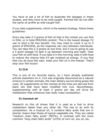You have to eat a lot of fish to duplicate the dosages in these studies, and they have to be wild-caught. Farmed fish do not offer the same oil profile as wild-caught fish.

If you take supplements, which is the easiest strategy, follow these guidelines:

Every day take 2-3 grams of fish oil that is the richest you can find in DHA, or in total EPA/DHA content. This is the lowest dosage I'd use to elicit a fat loss benefit. You may need to crank it up to 5 grams of EPA/DHA, as the response can vary between individuals. You can take the 2-3 grams at one time, but if you're going to use a 5 gram dosage I'd split it up between morning and night. Take your fish oil with food. If you take it in the morning, take it with food to reduce the chance that it'll get oxidized as energy. If you find that you do burp fish odor, keep your fish oil in the freezer. That'll stop your fish burps!

# **2) CLA**

This is one of my favorite topics, so I have already published articles elsewhere on it. CLA was originally discovered as a natural mixture in certain animals, the main dietary source being grass-fed cows. All supplements on the market at this time are derived from plant oils that have been modified into CLA. Nevertheless, supplementing with at least 4 grams per day will drive fat metabolism that enhances lean body mass composition.

# **3) Coconut oil**

Research on this oil shows that it is used as a fuel to drive metabolism faster than any other fat. This has to do with its composition. As a tropical oil, it contains fatty acids that are in shorter chains than those of typical vegetable oils. They are called "medium chain fatty acids" (MCFA), in contrast with the more common "long chain fatty acids" (LCFA) of corn oil, soy oil, etc.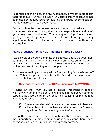Regardless of their size, the MCFA somehow drive fat metabolism faster than LCFA. In fact, a diet of 40% calories from coconut oil has been used by bodybuilders for lowering their body fat composition, thereby increasing lean body mass.

Coconut oil can be incorporated as a supplement or used in cooking. It is more stabile in cooking than typical vegetable oils and won"t get smoky due to oxidation. This is a good thing. Nevertheless, getting several grams of coconut oil into your daily supplementation or food is an important addition to getting and staying lean.

# **MEAL SPACING - WHEN IS THE BEST TIME TO EAT?**

Two schools of thought dominate this subject. One is that you must eat 5-6 small meals throughout the day. Comments on this strategy typically refer to your body as a furnace that you have to keep stoking to keep it burning as fast as possible.

Of course, equating your body with a fuel-burning furnace is way off base. This concept is derived from the "calories in, calories out" notion of balancing calories.

# This concept is absolutely, 100%, unequivocally *WRONG*!

It turns out that *when* you eat is, indeed, important in light of well-known human physiology. As explained in the book, Mastering Leptin, that I listed earlier, the best meal spacing for maintaining lean body mass is as follows:

- 1) 3 meals per day, 4-5 hours apart, no snacks in between
- 2) allow at least 12 hours between dinner and the following day"s breakfast, no evening snack after dinner

This pattern does several things to optimize the hormones that are most importance for maintaining the right body composition. These hormones include leptin, insulin, and growth hormone.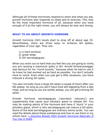Although all of these hormones respond to when and what you eat, growth hormone also responds to sleep and to exercise. This may be the most important hormone of all, because when you have enough of it at the right times, you will always be lean and strong.

# **WHAT TO DO ABOUT GROWTH HORMONE**

Growth hormone (GH) levels start to drop off at about age 25. Nevertheless, there are three ways to enhance GH spikes, regardless of your age. They are:

- 1) a hard workout
- 2) great sleep
- 3) GH secretagogues

When you work out so hard that you feel like you are going to vomit, you are causing a maximum spike in GH. Arnold Schwarzenegger was famous for his "vomit bucket," because when he had to use it he knew he had worked out as hard as possible. You don"t actually have to vomit. Even when you just get a little nauseous, you have induced a strong GH spike.

You also normally have a large GH spike a couple of hours after you fall asleep. As long as you don"t have food still digesting from a late meal, and as long as you are solidly asleep, you will get a strong GH spike.

Growth hormone secretagogues ("secretion inducers") are supplements that cause your pituitary gland to release GH. You may be making plenty of the hormone and have it 'stuck' in your pituitary gland, which is why secretagogues can induce a GH spike. Some of the best secretagogues are ordinary amino acids. You can read the details about these substances and how to use them in my article here: [L-Arginine Boosts HGH Growth Hormone Naturally If](http://personalfitnessresearch.com/l-arginine-boosts-hgh-growth-hormone-naturally-if-you-use-it-right/)  [You Use It Right](http://personalfitnessresearch.com/l-arginine-boosts-hgh-growth-hormone-naturally-if-you-use-it-right/)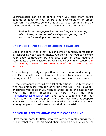Secretagogues can be of benefit when you take them before bedtime or about an hour before a hard workout, on an empty stomach. The greatest benefit that you can get from nighttime GH spikes depends on not eating an evening snack after dinner.

*Taking GH secretagogues before bedtime, and not eating after dinner, is the easiest strategy for getting the GH you need for staying lean without exercise.*

### **ONE MORE THING ABOUT CALORIES: A CAUTION**

One of the party lines is that you can control your body composition by controlling your calorie intake. Another is that you can control your body composition by exercise. Both of these dogmatic statements are contradicted by well-known scientific research. *In other words, research shows that both of these statements are incorrect.*

You control your body composition by what you eat and when you eat. Exercise will only be of sufficient benefit to you when you eat the right stuff (protein, fat) at the right times (well-spaced meals).

These statements always draw a lot of objections, usually by people who are unfamiliar with the scientific literature. Here is what I encourage you to do if you wish to either agree or disagree with what my main message is here. Visit my blog [\(PersonalFitnessResearch.com\)](http://personalfitnessresearch.com/) and leave a comment with your thoughts on the subject, preferably citing research that supports your view. I think it would be beneficial to get a dialogue going among people who really study this kind of material.

### **DO YOU BELIEVE IN MIRACLES? THE CASE FOR HMB**

I love the full name for HMB: beta-hydroxy-beta-methylbutyrate. It is a metabolite of the branched chain amino acid, L-leucine. The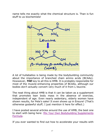name tells me exactly what the chemical structure is. Than is fun stuff to us biochemists!



A lot of hullaballoo is being made by the bodybuilding community about the importance of branched chain amino acids (BCAAs). Howwever, *THE* key to all this is HMB. It is probably responsible for most of the muscle-enhancing properties of BCAAs, although our bodies don"t actually convert very much of it from L-leucine.

The neat thing about HMB is that it can be taken as a supplement that promotes lean body mass in the absence of exercise, independent of age. Even nearly sedentary, elderly women have shown results, for Pete's sake! It even shows up in Ensure! (That's otherwise godawful stuff; I just mention it here for effect.)

I have posted several articles around the use of HMB, the best one to start with being here: [Mix Your Own Bodybuilding Supplements](http://personalfitnessresearch.com/mix-your-own-bodybuilding-supplements-formula/)  [Formula.](http://personalfitnessresearch.com/mix-your-own-bodybuilding-supplements-formula/)

If you ever wanted to find out how to accelerate your results with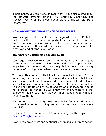supplements, you really should read what I have discovered about the potential synergy among HMB, creatine, L-arginine, and glucose (yes, ordinary blood sugar plays a critical role *as a supplement*).

# **HOW ABOUT THE IMPORTANCE OF EXERCISE?**

Now, lest you start to think that I am against exercise, I"d better make myself clear. Exercise is important for fitness. I like to run, so my fitness is for running. Swimmers like to swim, so their fitness is for swimming. In other words, exercise is important for being fit for whatever kind of fitness you want.

# **Exercise for Getting and Staying Lean**

Long ago I realized that running for endurance is not a good strategy for being lean. I have trained and run with plenty of fat long-distance runners. My own belly bulge never went away because of running, even when I was training for marathons.

The only other comment that I will make about what doesn"t work for staying lean is this: None of the myriad ab machines that I have seen on late night TV infomercials do anything at all for developing six-pack abs or a flat stomach. If you have fat around your middle, you will not get rid of it by doing endless ab crunches, etc. You do not exercise fat. Maybe you will enjoy my long-running joke that everyone has six-pack abs, although most people keep it hidden under stealth fat.

My success in shrinking down my belly fat started with a hormone-directed fat-burning protocol that has been known since the 1950s.

You can find out more about it at my blog on the topic here: [BestHCGWeightLoss.com.](http://besthcgweightloss.com/)

Now I keep myself slim and continually shrinking and trimming with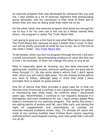an exercise program that was developed by someone like you and me. I also looked at a lot of exercise regimens that bodybuilding gurus advocate, and my conclusion is that none of them got to where they are now by doing what they want me to do.

On the other hand, one exercise program that stood out enough for me to buy it for my own use is the one by a fellow named Mike Geary. His program is called The Truth About Abs.

I am going to give you a link here to see what Mike has to say about The Truth About Abs, because he says it better than I could. In fact, you will be pretty surprised at what he has to say. Go to this link to see what I mean: [The Truth About Abs.](http://c9e96nq-py6815nan7f9q51tfq.hop.clickbank.net/)

To be honest, when you buy his program through this link I will earn a small commission. Recommending products of value like this one is how I do business. It does not change the price to you at all.

Mike is especially good at showing you the best exercises for getting lean, building muscle, and even getting your six-pack abs to show through (!). He has some dietary advice that I don't agree with, which you will notice right away. You can choose whose advice you want to follow, although keep in mind that what I have provided here is based on good science.

One bit of advice that Mike provides a good case for is that my favorite kind of exercise (running) is not a good strategy for getting or maintaining lean body mass. He confirms what I discovered years ago. Nevertheless, I continue to run regularly because it is therapeutic and even meditative for me. I have simply added Mike Geary's workouts to my exercise program. This works fine since I am eating plenty of protein and fat, very little carb, and taking the right oil supplements and antioxidants to combat my exercise-induced oxidative stress. Hey, I'm already 64 years old, most of my running buddies have broken down (some requiring artificial joints!) and stopped running, and I feel great that I can still run at all.